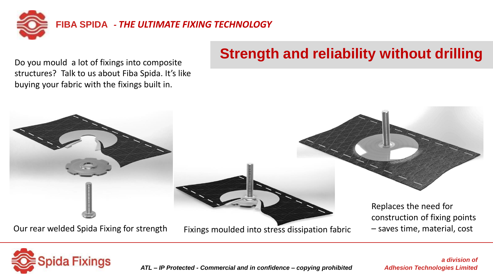

Do you mould a lot of fixings into composite structures? Talk to us about Fiba Spida. It's like buying your fabric with the fixings built in.

# **Strength and reliability without drilling**





*ATL – IP Protected - Commercial and in confidence – copying prohibited*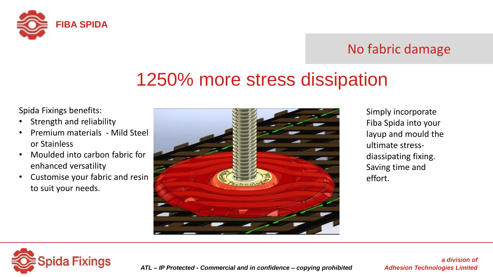

### No fabric damage

# 1250% more stress dissipation

Spida Fixings benefits:

- Strength and reliability
- Premium materials Mild Steel or Stainless
- Moulded into carbon fabric for enhanced versatility
- Customise your fabric and resin to suit your needs.



Simply incorporate Fiba Spida into your layup and mould the ultimate stressdiassipating fixing. Saving time and effort.



*ATL – IP Protected - Commercial and in confidence – copying prohibited*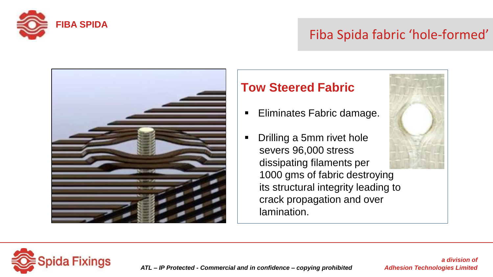

## Fiba Spida fabric 'hole-formed'



### **Tow Steered Fabric**

- Eliminates Fabric damage.
- Drilling a 5mm rivet hole severs 96,000 stress dissipating filaments per 1000 gms of fabric destroying its structural integrity leading to crack propagation and over lamination.



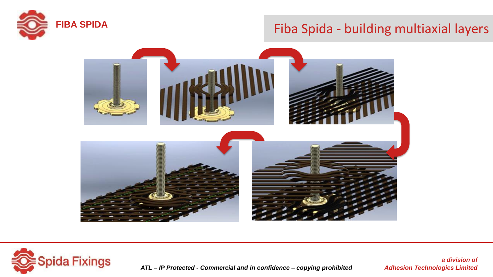

# **FIBA SPIDA** Fiba Spida - building multiaxial layers





*ATL – IP Protected - Commercial and in confidence – copying prohibited*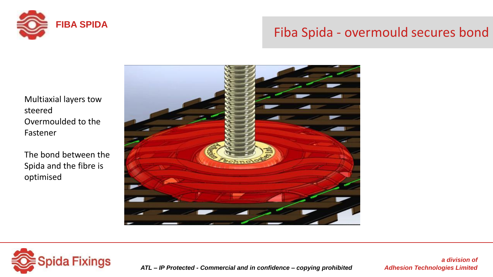

# **FIBA SPIDA** Fiba Spida - overmould secures bond

Multiaxial layers tow steered Overmoulded to the Fastener

The bond between the Spida and the fibre is optimised





*ATL – IP Protected - Commercial and in confidence – copying prohibited*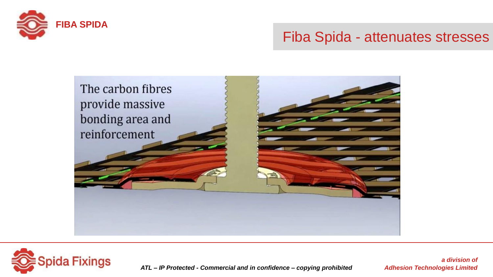

### Fiba Spida - attenuates stresses





*ATL – IP Protected - Commercial and in confidence – copying prohibited*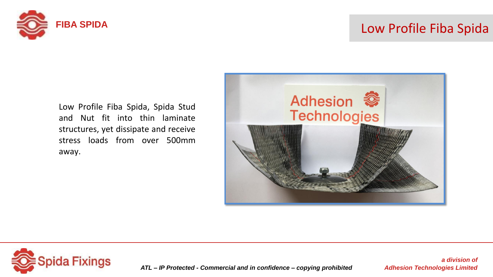

# **FIBA SPIDA** Low Profile Fiba Spida

Low Profile Fiba Spida, Spida Stud and Nut fit into thin laminate structures, yet dissipate and receive stress loads from over 500mm away.





*ATL – IP Protected - Commercial and in confidence – copying prohibited*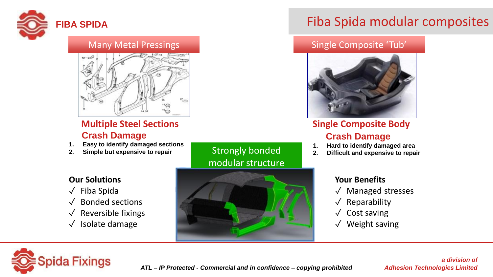

#### Many Metal Pressings National Composite 'Tub' Single Composite 'Tub'



#### **Multiple Steel Sections Crash Damage**

- **1. Easy to identify damaged sections**
- **2. Simple but expensive to repair**

#### **Our Solutions**

- ✓ Fiba Spida
- ✓ Bonded sections
- Reversible fixings
- ✓ Isolate damage

### Strongly bonded modular structure



### **FIBA SPIDA** Fiba Spida modular composites



#### **Single Composite Body Crash Damage**

- **1. Hard to identify damaged area**
- **2. Difficult and expensive to repair**

#### **Your Benefits**

- ✓ Managed stresses
- $\sqrt{\phantom{a}}$  Reparability
- ✓ Cost saving
- ✓ Weight saving

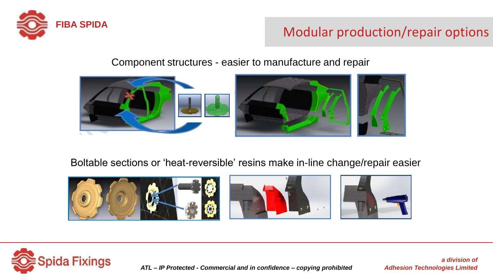

# FIBA SPIDA<br>Modular production/repair options

Component structures - easier to manufacture and repair



Boltable sections or 'heat-reversible' resins make in-line change/repair easier





*ATL – IP Protected - Commercial and in confidence – copying prohibited*